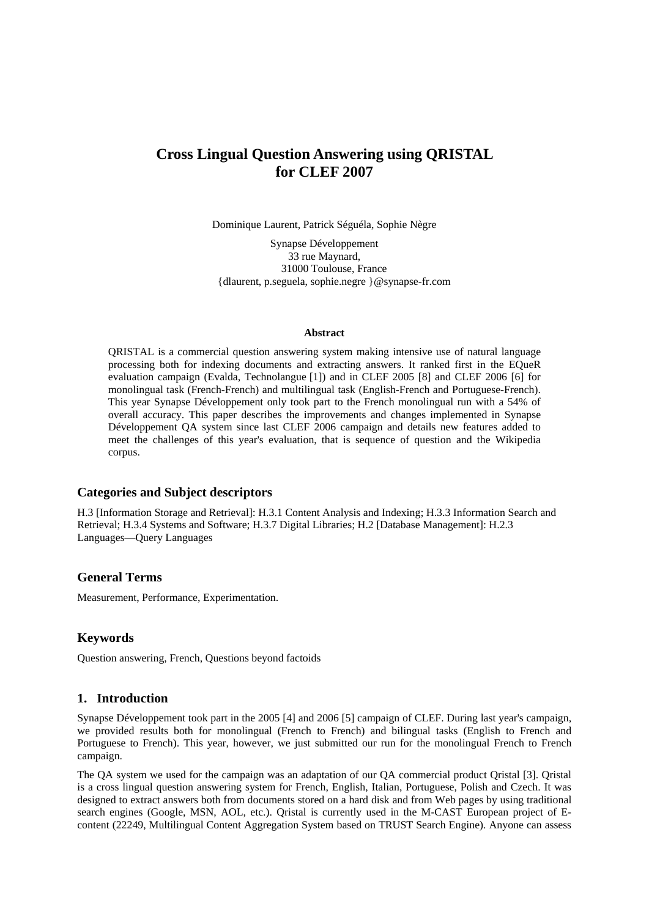# **Cross Lingual Question Answering using QRISTAL for CLEF 2007**

Dominique Laurent, Patrick Séguéla, Sophie Nègre

Synapse Développement 33 rue Maynard, 31000 Toulouse, France {dlaurent, p.seguela, sophie.negre }@synapse-fr.com

#### **Abstract**

QRISTAL is a commercial question answering system making intensive use of natural language processing both for indexing documents and extracting answers. It ranked first in the EQueR evaluation campaign (Evalda, Technolangue [1]) and in CLEF 2005 [8] and CLEF 2006 [6] for monolingual task (French-French) and multilingual task (English-French and Portuguese-French). This year Synapse Développement only took part to the French monolingual run with a 54% of overall accuracy. This paper describes the improvements and changes implemented in Synapse Développement QA system since last CLEF 2006 campaign and details new features added to meet the challenges of this year's evaluation, that is sequence of question and the Wikipedia corpus.

#### **Categories and Subject descriptors**

H.3 [Information Storage and Retrieval]: H.3.1 Content Analysis and Indexing; H.3.3 Information Search and Retrieval; H.3.4 Systems and Software; H.3.7 Digital Libraries; H.2 [Database Management]: H.2.3 Languages—Query Languages

### **General Terms**

Measurement, Performance, Experimentation.

### **Keywords**

Question answering, French, Questions beyond factoids

#### **1. Introduction**

Synapse Développement took part in the 2005 [4] and 2006 [5] campaign of CLEF. During last year's campaign, we provided results both for monolingual (French to French) and bilingual tasks (English to French and Portuguese to French). This year, however, we just submitted our run for the monolingual French to French campaign.

The QA system we used for the campaign was an adaptation of our QA commercial product Qristal [3]. Qristal is a cross lingual question answering system for French, English, Italian, Portuguese, Polish and Czech. It was designed to extract answers both from documents stored on a hard disk and from Web pages by using traditional search engines (Google, MSN, AOL, etc.). Qristal is currently used in the M-CAST European project of Econtent (22249, Multilingual Content Aggregation System based on TRUST Search Engine). Anyone can assess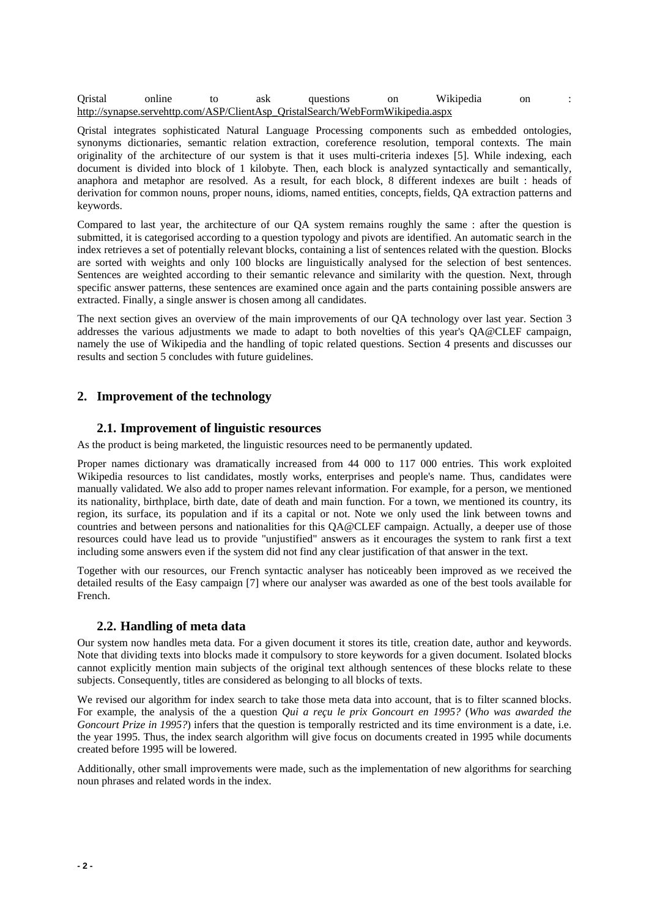| Qristal | online | ask | questions                                                                      | on | Wikipedia | on |  |
|---------|--------|-----|--------------------------------------------------------------------------------|----|-----------|----|--|
|         |        |     | http://synapse.servehttp.com/ASP/ClientAsp QristalSearch/WebFormWikipedia.aspx |    |           |    |  |

Qristal integrates sophisticated Natural Language Processing components such as embedded ontologies, synonyms dictionaries, semantic relation extraction, coreference resolution, temporal contexts. The main originality of the architecture of our system is that it uses multi-criteria indexes [5]. While indexing, each document is divided into block of 1 kilobyte. Then, each block is analyzed syntactically and semantically, anaphora and metaphor are resolved. As a result, for each block, 8 different indexes are built : heads of derivation for common nouns, proper nouns, idioms, named entities, concepts, fields, QA extraction patterns and keywords.

Compared to last year, the architecture of our QA system remains roughly the same : after the question is submitted, it is categorised according to a question typology and pivots are identified. An automatic search in the index retrieves a set of potentially relevant blocks, containing a list of sentences related with the question. Blocks are sorted with weights and only 100 blocks are linguistically analysed for the selection of best sentences. Sentences are weighted according to their semantic relevance and similarity with the question. Next, through specific answer patterns, these sentences are examined once again and the parts containing possible answers are extracted. Finally, a single answer is chosen among all candidates.

The next section gives an overview of the main improvements of our QA technology over last year. Section 3 addresses the various adjustments we made to adapt to both novelties of this year's QA@CLEF campaign, namely the use of Wikipedia and the handling of topic related questions. Section 4 presents and discusses our results and section 5 concludes with future guidelines.

# **2. Improvement of the technology**

#### **2.1. Improvement of linguistic resources**

As the product is being marketed, the linguistic resources need to be permanently updated.

Proper names dictionary was dramatically increased from 44 000 to 117 000 entries. This work exploited Wikipedia resources to list candidates, mostly works, enterprises and people's name. Thus, candidates were manually validated. We also add to proper names relevant information. For example, for a person, we mentioned its nationality, birthplace, birth date, date of death and main function. For a town, we mentioned its country, its region, its surface, its population and if its a capital or not. Note we only used the link between towns and countries and between persons and nationalities for this QA@CLEF campaign. Actually, a deeper use of those resources could have lead us to provide "unjustified" answers as it encourages the system to rank first a text including some answers even if the system did not find any clear justification of that answer in the text.

Together with our resources, our French syntactic analyser has noticeably been improved as we received the detailed results of the Easy campaign [7] where our analyser was awarded as one of the best tools available for French.

#### **2.2. Handling of meta data**

Our system now handles meta data. For a given document it stores its title, creation date, author and keywords. Note that dividing texts into blocks made it compulsory to store keywords for a given document. Isolated blocks cannot explicitly mention main subjects of the original text although sentences of these blocks relate to these subjects. Consequently, titles are considered as belonging to all blocks of texts.

We revised our algorithm for index search to take those meta data into account, that is to filter scanned blocks. For example, the analysis of the a question *Qui a reçu le prix Goncourt en 1995?* (*Who was awarded the Goncourt Prize in 1995?*) infers that the question is temporally restricted and its time environment is a date, i.e. the year 1995. Thus, the index search algorithm will give focus on documents created in 1995 while documents created before 1995 will be lowered.

Additionally, other small improvements were made, such as the implementation of new algorithms for searching noun phrases and related words in the index.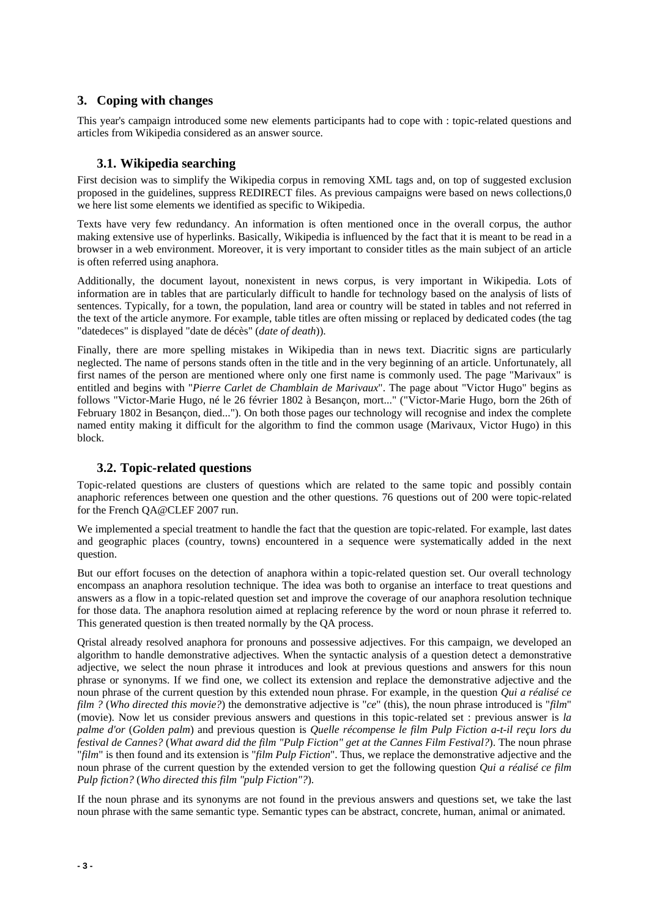# **3. Coping with changes**

This year's campaign introduced some new elements participants had to cope with : topic-related questions and articles from Wikipedia considered as an answer source.

#### **3.1. Wikipedia searching**

First decision was to simplify the Wikipedia corpus in removing XML tags and, on top of suggested exclusion proposed in the guidelines, suppress REDIRECT files. As previous campaigns were based on news collections,0 we here list some elements we identified as specific to Wikipedia.

Texts have very few redundancy. An information is often mentioned once in the overall corpus, the author making extensive use of hyperlinks. Basically, Wikipedia is influenced by the fact that it is meant to be read in a browser in a web environment. Moreover, it is very important to consider titles as the main subject of an article is often referred using anaphora.

Additionally, the document layout, nonexistent in news corpus, is very important in Wikipedia. Lots of information are in tables that are particularly difficult to handle for technology based on the analysis of lists of sentences. Typically, for a town, the population, land area or country will be stated in tables and not referred in the text of the article anymore. For example, table titles are often missing or replaced by dedicated codes (the tag "datedeces" is displayed "date de décès" (*date of death*)).

Finally, there are more spelling mistakes in Wikipedia than in news text. Diacritic signs are particularly neglected. The name of persons stands often in the title and in the very beginning of an article. Unfortunately, all first names of the person are mentioned where only one first name is commonly used. The page "Marivaux" is entitled and begins with "*Pierre Carlet de Chamblain de Marivaux*". The page about "Victor Hugo" begins as follows "Victor-Marie Hugo, né le 26 février 1802 à Besançon, mort..." ("Victor-Marie Hugo, born the 26th of February 1802 in Besançon, died..."). On both those pages our technology will recognise and index the complete named entity making it difficult for the algorithm to find the common usage (Marivaux, Victor Hugo) in this block.

# **3.2. Topic-related questions**

Topic-related questions are clusters of questions which are related to the same topic and possibly contain anaphoric references between one question and the other questions. 76 questions out of 200 were topic-related for the French QA@CLEF 2007 run.

We implemented a special treatment to handle the fact that the question are topic-related. For example, last dates and geographic places (country, towns) encountered in a sequence were systematically added in the next question.

But our effort focuses on the detection of anaphora within a topic-related question set. Our overall technology encompass an anaphora resolution technique. The idea was both to organise an interface to treat questions and answers as a flow in a topic-related question set and improve the coverage of our anaphora resolution technique for those data. The anaphora resolution aimed at replacing reference by the word or noun phrase it referred to. This generated question is then treated normally by the QA process.

Qristal already resolved anaphora for pronouns and possessive adjectives. For this campaign, we developed an algorithm to handle demonstrative adjectives. When the syntactic analysis of a question detect a demonstrative adjective, we select the noun phrase it introduces and look at previous questions and answers for this noun phrase or synonyms. If we find one, we collect its extension and replace the demonstrative adjective and the noun phrase of the current question by this extended noun phrase. For example, in the question *Qui a réalisé ce film ?* (*Who directed this movie?*) the demonstrative adjective is "*ce*" (this), the noun phrase introduced is "*film*" (movie). Now let us consider previous answers and questions in this topic-related set : previous answer is *la palme d'or* (*Golden palm*) and previous question is *Quelle récompense le film Pulp Fiction a-t-il reçu lors du festival de Cannes?* (*What award did the film "Pulp Fiction" get at the Cannes Film Festival?*). The noun phrase "*film*" is then found and its extension is "*film Pulp Fiction*". Thus, we replace the demonstrative adjective and the noun phrase of the current question by the extended version to get the following question *Qui a réalisé ce film Pulp fiction?* (*Who directed this film "pulp Fiction"?*).

If the noun phrase and its synonyms are not found in the previous answers and questions set, we take the last noun phrase with the same semantic type. Semantic types can be abstract, concrete, human, animal or animated.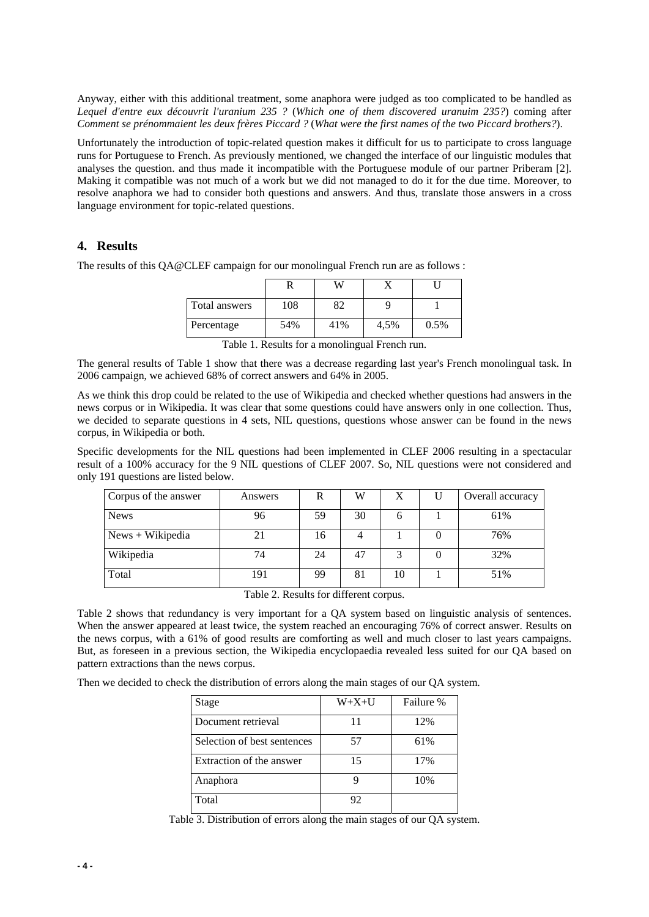Anyway, either with this additional treatment, some anaphora were judged as too complicated to be handled as *Lequel d'entre eux découvrit l'uranium 235 ?* (*Which one of them discovered uranuim 235?*) coming after *Comment se prénommaient les deux frères Piccard ?* (*What were the first names of the two Piccard brothers?*).

Unfortunately the introduction of topic-related question makes it difficult for us to participate to cross language runs for Portuguese to French. As previously mentioned, we changed the interface of our linguistic modules that analyses the question. and thus made it incompatible with the Portuguese module of our partner Priberam [2]. Making it compatible was not much of a work but we did not managed to do it for the due time. Moreover, to resolve anaphora we had to consider both questions and answers. And thus, translate those answers in a cross language environment for topic-related questions.

### **4. Results**

The results of this QA@CLEF campaign for our monolingual French run are as follows :

| Total answers | 108 | 32  |      |      |
|---------------|-----|-----|------|------|
| Percentage    | 54% | 41% | 4,5% | 0.5% |

Table 1. Results for a monolingual French run.

The general results of Table 1 show that there was a decrease regarding last year's French monolingual task. In 2006 campaign, we achieved 68% of correct answers and 64% in 2005.

As we think this drop could be related to the use of Wikipedia and checked whether questions had answers in the news corpus or in Wikipedia. It was clear that some questions could have answers only in one collection. Thus, we decided to separate questions in 4 sets, NIL questions, questions whose answer can be found in the news corpus, in Wikipedia or both.

Specific developments for the NIL questions had been implemented in CLEF 2006 resulting in a spectacular result of a 100% accuracy for the 9 NIL questions of CLEF 2007. So, NIL questions were not considered and only 191 questions are listed below.

| Corpus of the answer | Answers | R  | W  | X  | Overall accuracy |
|----------------------|---------|----|----|----|------------------|
| <b>News</b>          | 96      | 59 | 30 | O  | 61%              |
| $News + Wikipedia$   | 21      | 16 |    |    | 76%              |
| Wikipedia            | 74      | 24 | 47 | 2  | 32%              |
| Total                | 191     | 99 | 81 | 10 | 51%              |

Table 2. Results for different corpus.

Table 2 shows that redundancy is very important for a QA system based on linguistic analysis of sentences. When the answer appeared at least twice, the system reached an encouraging 76% of correct answer. Results on the news corpus, with a 61% of good results are comforting as well and much closer to last years campaigns. But, as foreseen in a previous section, the Wikipedia encyclopaedia revealed less suited for our QA based on pattern extractions than the news corpus.

Then we decided to check the distribution of errors along the main stages of our QA system.

| Stage                       | $W+X+U$ | Failure % |
|-----------------------------|---------|-----------|
| Document retrieval          | 11      | 12%       |
| Selection of best sentences | 57      | 61%       |
| Extraction of the answer    | 15      | 17%       |
| Anaphora                    |         | 10%       |
| Total                       | 92      |           |

Table 3. Distribution of errors along the main stages of our QA system.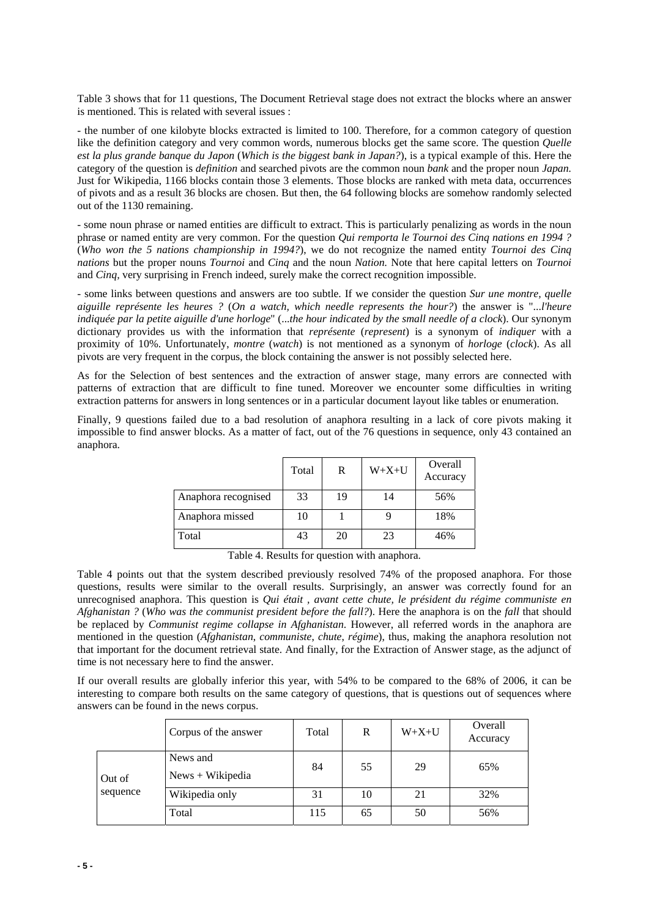Table 3 shows that for 11 questions, The Document Retrieval stage does not extract the blocks where an answer is mentioned. This is related with several issues :

- the number of one kilobyte blocks extracted is limited to 100. Therefore, for a common category of question like the definition category and very common words, numerous blocks get the same score. The question *Quelle est la plus grande banque du Japon* (*Which is the biggest bank in Japan?*), is a typical example of this. Here the category of the question is *definition* and searched pivots are the common noun *bank* and the proper noun *Japan.* Just for Wikipedia, 1166 blocks contain those 3 elements. Those blocks are ranked with meta data, occurrences of pivots and as a result 36 blocks are chosen. But then, the 64 following blocks are somehow randomly selected out of the 1130 remaining.

- some noun phrase or named entities are difficult to extract. This is particularly penalizing as words in the noun phrase or named entity are very common. For the question *Qui remporta le Tournoi des Cinq nations en 1994 ?* (*Who won the 5 nations championship in 1994?*), we do not recognize the named entity *Tournoi des Cinq nations* but the proper nouns *Tournoi* and *Cinq* and the noun *Nation.* Note that here capital letters on *Tournoi*  and *Cinq,* very surprising in French indeed, surely make the correct recognition impossible.

- some links between questions and answers are too subtle. If we consider the question *Sur une montre, quelle aiguille représente les heures ?* (*On a watch, which needle represents the hour?*) the answer is "...*l'heure indiquée par la petite aiguille d'une horloge*" (...*the hour indicated by the small needle of a clock*). Our synonym dictionary provides us with the information that *représente* (*represent*) is a synonym of *indiquer* with a proximity of 10%. Unfortunately, *montre* (*watch*) is not mentioned as a synonym of *horloge* (*clock*). As all pivots are very frequent in the corpus, the block containing the answer is not possibly selected here.

As for the Selection of best sentences and the extraction of answer stage, many errors are connected with patterns of extraction that are difficult to fine tuned. Moreover we encounter some difficulties in writing extraction patterns for answers in long sentences or in a particular document layout like tables or enumeration.

Finally, 9 questions failed due to a bad resolution of anaphora resulting in a lack of core pivots making it impossible to find answer blocks. As a matter of fact, out of the 76 questions in sequence, only 43 contained an anaphora.

|                     | Total | R  | $W+X+U$ | Overall<br>Accuracy |
|---------------------|-------|----|---------|---------------------|
| Anaphora recognised | 33    | 19 | 14      | 56%                 |
| Anaphora missed     | 10    |    |         | 18%                 |
| Total               | 43    | 20 | 23      | 46%                 |

Table 4. Results for question with anaphora.

Table 4 points out that the system described previously resolved 74% of the proposed anaphora. For those questions, results were similar to the overall results. Surprisingly, an answer was correctly found for an unrecognised anaphora. This question is *Qui était , avant cette chute, le président du régime communiste en Afghanistan ?* (*Who was the communist president before the fall?*). Here the anaphora is on the *fall* that should be replaced by *Communist regime collapse in Afghanistan*. However, all referred words in the anaphora are mentioned in the question (*Afghanistan*, *communiste*, *chute*, *régime*), thus, making the anaphora resolution not that important for the document retrieval state. And finally, for the Extraction of Answer stage, as the adjunct of time is not necessary here to find the answer.

If our overall results are globally inferior this year, with 54% to be compared to the 68% of 2006, it can be interesting to compare both results on the same category of questions, that is questions out of sequences where answers can be found in the news corpus.

|          | Corpus of the answer           | Total | R  | $W+X+U$ | Overall<br>Accuracy |
|----------|--------------------------------|-------|----|---------|---------------------|
| Out of   | News and<br>$News + Wikipedia$ | 84    | 55 | 29      | 65%                 |
| sequence | Wikipedia only                 | 31    | 10 | 21      | 32%                 |
|          | Total                          | 115   | 65 | 50      | 56%                 |